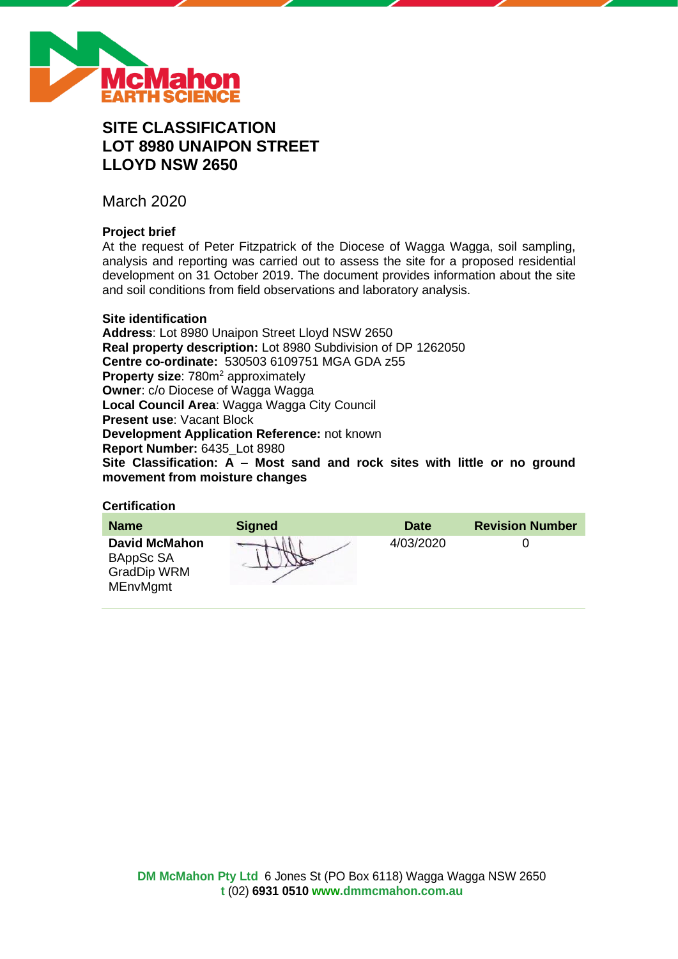

# **SITE CLASSIFICATION LOT 8980 UNAIPON STREET LLOYD NSW 2650**

March 2020

### **Project brief**

At the request of Peter Fitzpatrick of the Diocese of Wagga Wagga, soil sampling, analysis and reporting was carried out to assess the site for a proposed residential development on 31 October 2019. The document provides information about the site and soil conditions from field observations and laboratory analysis.

### **Site identification**

**Address**: Lot 8980 Unaipon Street Lloyd NSW 2650 **Real property description:** Lot 8980 Subdivision of DP 1262050 **Centre co-ordinate:** 530503 6109751 MGA GDA z55 **Property size:** 780m<sup>2</sup> approximately **Owner**: c/o Diocese of Wagga Wagga **Local Council Area**: Wagga Wagga City Council **Present use**: Vacant Block **Development Application Reference:** not known **Report Number:** 6435\_Lot 8980 **Site Classification: A – Most sand and rock sites with little or no ground movement from moisture changes**

### **Certification**

| <b>Name</b>                                                                | <b>Signed</b> | <b>Date</b> | <b>Revision Number</b> |
|----------------------------------------------------------------------------|---------------|-------------|------------------------|
| <b>David McMahon</b><br>BAppSc SA<br><b>GradDip WRM</b><br><b>MEnvMgmt</b> |               | 4/03/2020   |                        |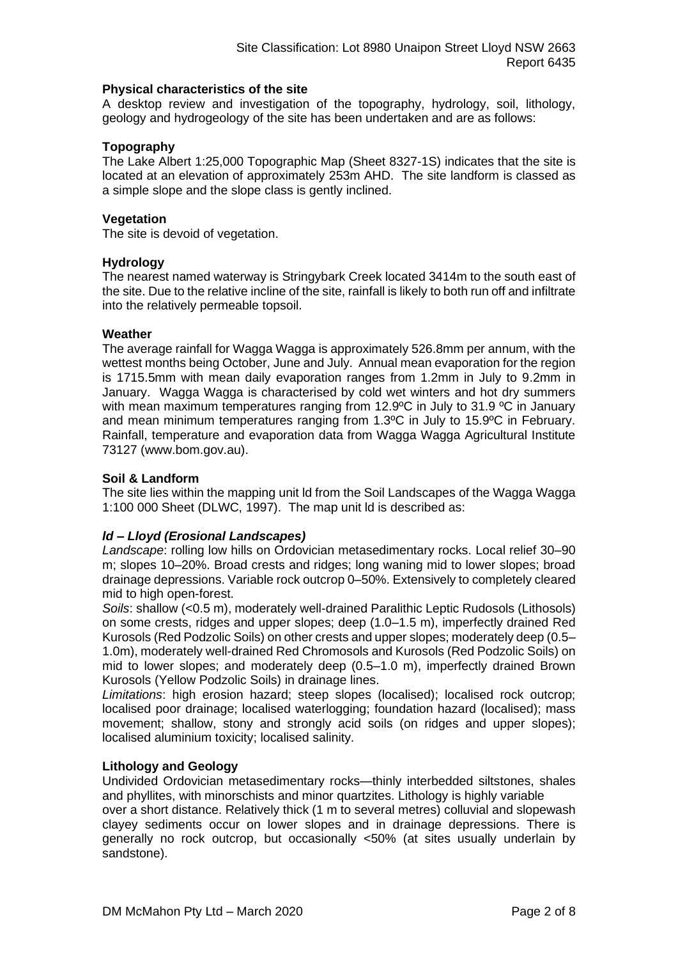### **Physical characteristics of the site**

A desktop review and investigation of the topography, hydrology, soil, lithology, geology and hydrogeology of the site has been undertaken and are as follows:

### **Topography**

The Lake Albert 1:25,000 Topographic Map (Sheet 8327-1S) indicates that the site is located at an elevation of approximately 253m AHD. The site landform is classed as a simple slope and the slope class is gently inclined.

### **Vegetation**

The site is devoid of vegetation.

### **Hydrology**

The nearest named waterway is Stringybark Creek located 3414m to the south east of the site. Due to the relative incline of the site, rainfall is likely to both run off and infiltrate into the relatively permeable topsoil.

### **Weather**

The average rainfall for Wagga Wagga is approximately 526.8mm per annum, with the wettest months being October, June and July. Annual mean evaporation for the region is 1715.5mm with mean daily evaporation ranges from 1.2mm in July to 9.2mm in January. Wagga Wagga is characterised by cold wet winters and hot dry summers with mean maximum temperatures ranging from 12.9°C in July to 31.9 °C in January and mean minimum temperatures ranging from 1.3ºC in July to 15.9ºC in February. Rainfall, temperature and evaporation data from Wagga Wagga Agricultural Institute 73127 (www.bom.gov.au).

### **Soil & Landform**

The site lies within the mapping unit ld from the Soil Landscapes of the Wagga Wagga 1:100 000 Sheet (DLWC, 1997). The map unit ld is described as:

### *ld – Lloyd (Erosional Landscapes)*

*Landscape*: rolling low hills on Ordovician metasedimentary rocks. Local relief 30–90 m; slopes 10–20%. Broad crests and ridges; long waning mid to lower slopes; broad drainage depressions. Variable rock outcrop 0–50%. Extensively to completely cleared mid to high open-forest.

*Soils*: shallow (<0.5 m), moderately well-drained Paralithic Leptic Rudosols (Lithosols) on some crests, ridges and upper slopes; deep (1.0–1.5 m), imperfectly drained Red Kurosols (Red Podzolic Soils) on other crests and upper slopes; moderately deep (0.5– 1.0m), moderately well-drained Red Chromosols and Kurosols (Red Podzolic Soils) on mid to lower slopes; and moderately deep (0.5–1.0 m), imperfectly drained Brown Kurosols (Yellow Podzolic Soils) in drainage lines.

*Limitations*: high erosion hazard; steep slopes (localised); localised rock outcrop; localised poor drainage; localised waterlogging; foundation hazard (localised); mass movement; shallow, stony and strongly acid soils (on ridges and upper slopes); localised aluminium toxicity; localised salinity.

### **Lithology and Geology**

Undivided Ordovician metasedimentary rocks—thinly interbedded siltstones, shales and phyllites, with minorschists and minor quartzites. Lithology is highly variable

over a short distance. Relatively thick (1 m to several metres) colluvial and slopewash clayey sediments occur on lower slopes and in drainage depressions. There is generally no rock outcrop, but occasionally <50% (at sites usually underlain by sandstone).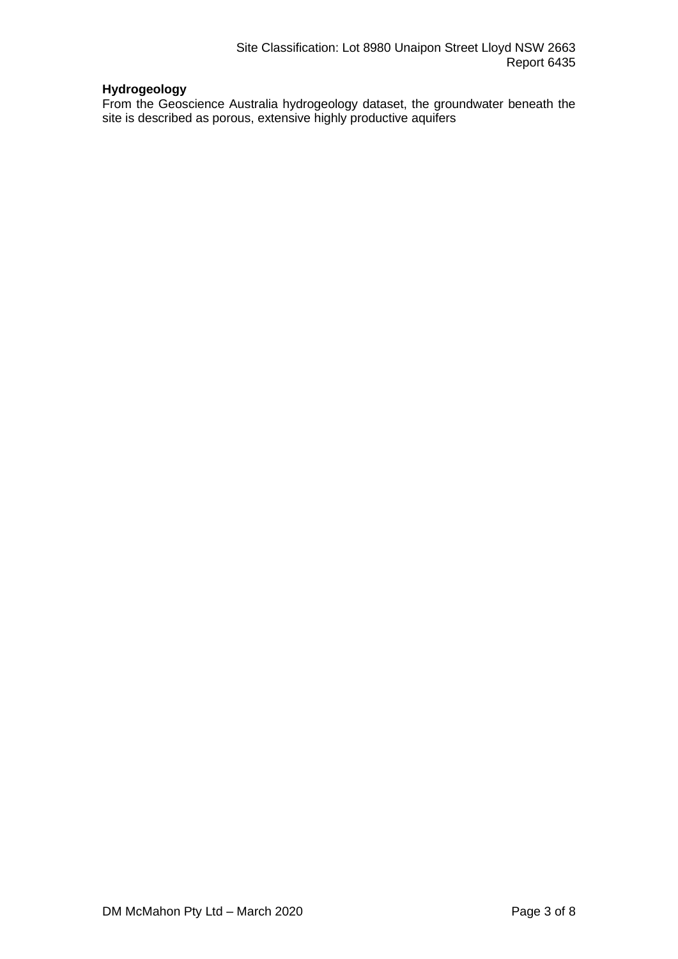## **Hydrogeology**

From the Geoscience Australia hydrogeology dataset, the groundwater beneath the site is described as porous, extensive highly productive aquifers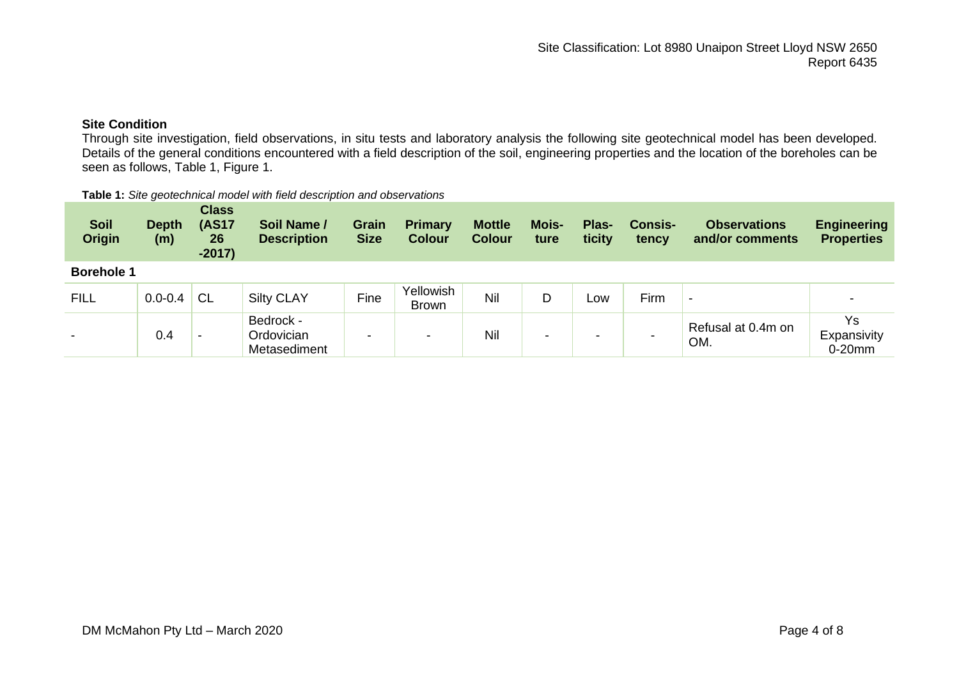### **Site Condition**

Through site investigation, field observations, in situ tests and laboratory analysis the following site geotechnical model has been developed. Details of the general conditions encountered with a field description of the soil, engineering properties and the location of the boreholes can be seen as follows, Table 1, Figure 1.

#### **Table 1:** *Site geotechnical model with field description and observations*

| <b>Soil</b><br><b>Origin</b> | <b>Depth</b><br>(m) | <b>Class</b><br><b>(AS17</b><br>26<br>$-2017)$ | <b>Soil Name /</b><br><b>Description</b> | <b>Grain</b><br><b>Size</b> | <b>Primary</b><br><b>Colour</b> | <b>Mottle</b><br><b>Colour</b> | <b>Mois-</b><br>ture | Plas-<br>ticity | <b>Consis-</b><br>tency | <b>Observations</b><br>and/or comments | <b>Engineering</b><br><b>Properties</b> |
|------------------------------|---------------------|------------------------------------------------|------------------------------------------|-----------------------------|---------------------------------|--------------------------------|----------------------|-----------------|-------------------------|----------------------------------------|-----------------------------------------|
| <b>Borehole 1</b>            |                     |                                                |                                          |                             |                                 |                                |                      |                 |                         |                                        |                                         |
| <b>FILL</b>                  | $0.0 - 0.4$         | <b>CL</b>                                      | <b>Silty CLAY</b>                        | Fine                        | Yellowish<br><b>Brown</b>       | Nil                            | D                    | Low             | Firm                    |                                        |                                         |
| $\overline{\phantom{0}}$     | 0.4                 | $\overline{\phantom{0}}$                       | Bedrock -<br>Ordovician<br>Metasediment  | $\,$                        | $\overline{\phantom{0}}$        | Nil                            | -                    | -               |                         | Refusal at 0.4m on<br>OM.              | Ys<br>Expansivity<br>$0-20$ mm          |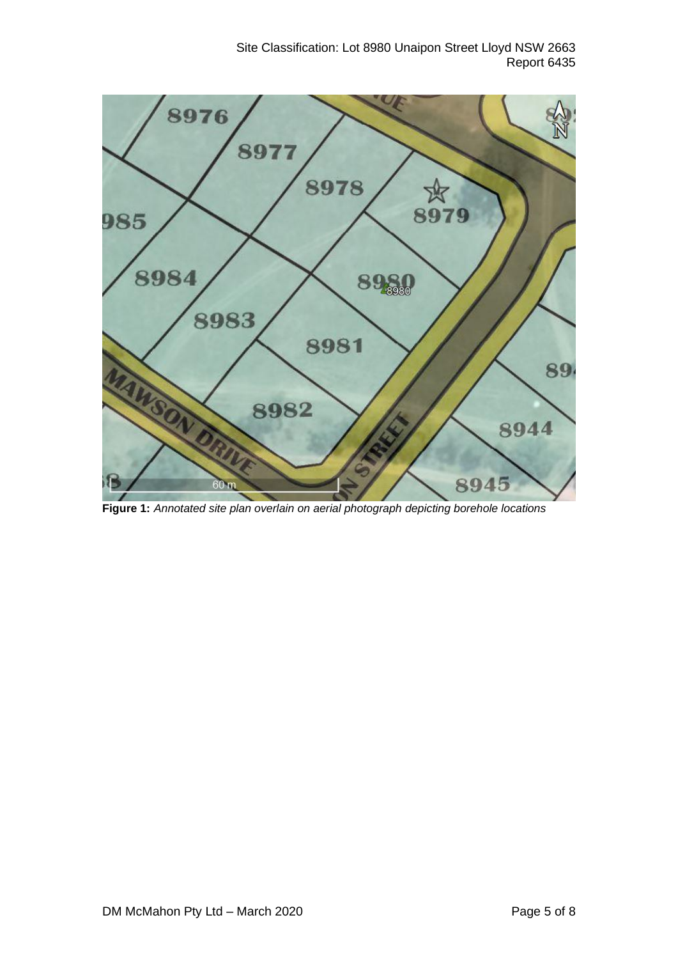

**Figure 1:** *Annotated site plan overlain on aerial photograph depicting borehole locations*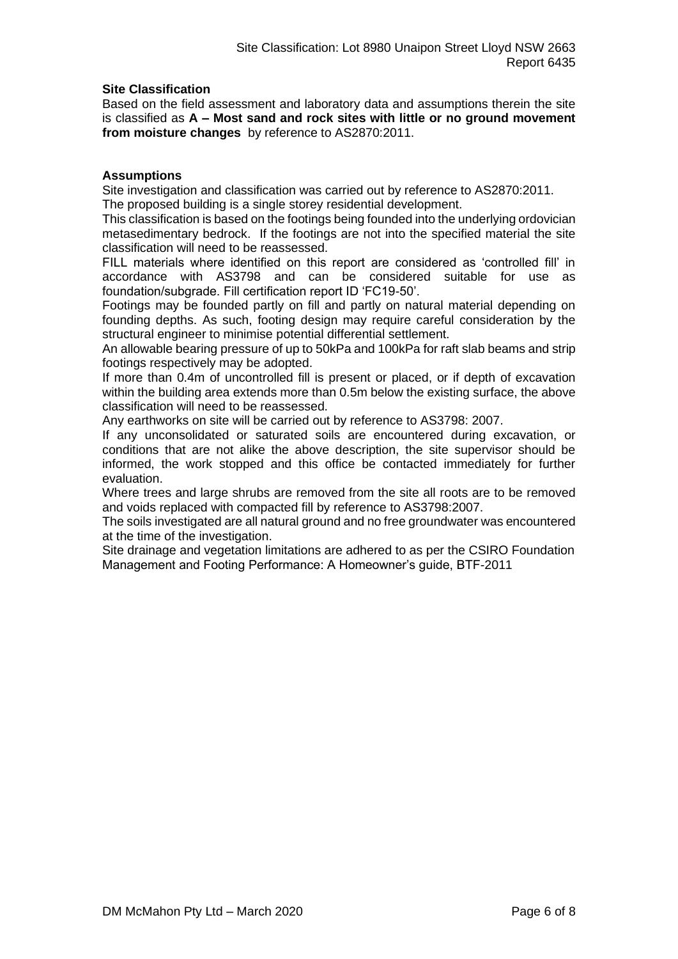### **Site Classification**

Based on the field assessment and laboratory data and assumptions therein the site is classified as **A – Most sand and rock sites with little or no ground movement from moisture changes** by reference to AS2870:2011.

### **Assumptions**

Site investigation and classification was carried out by reference to AS2870:2011. The proposed building is a single storey residential development.

This classification is based on the footings being founded into the underlying ordovician metasedimentary bedrock. If the footings are not into the specified material the site classification will need to be reassessed.

FILL materials where identified on this report are considered as 'controlled fill' in accordance with AS3798 and can be considered suitable for use as foundation/subgrade. Fill certification report ID 'FC19-50'.

Footings may be founded partly on fill and partly on natural material depending on founding depths. As such, footing design may require careful consideration by the structural engineer to minimise potential differential settlement.

An allowable bearing pressure of up to 50kPa and 100kPa for raft slab beams and strip footings respectively may be adopted.

If more than 0.4m of uncontrolled fill is present or placed, or if depth of excavation within the building area extends more than 0.5m below the existing surface, the above classification will need to be reassessed.

Any earthworks on site will be carried out by reference to AS3798: 2007.

If any unconsolidated or saturated soils are encountered during excavation, or conditions that are not alike the above description, the site supervisor should be informed, the work stopped and this office be contacted immediately for further evaluation.

Where trees and large shrubs are removed from the site all roots are to be removed and voids replaced with compacted fill by reference to AS3798:2007.

The soils investigated are all natural ground and no free groundwater was encountered at the time of the investigation.

Site drainage and vegetation limitations are adhered to as per the CSIRO Foundation Management and Footing Performance: A Homeowner's guide, BTF-2011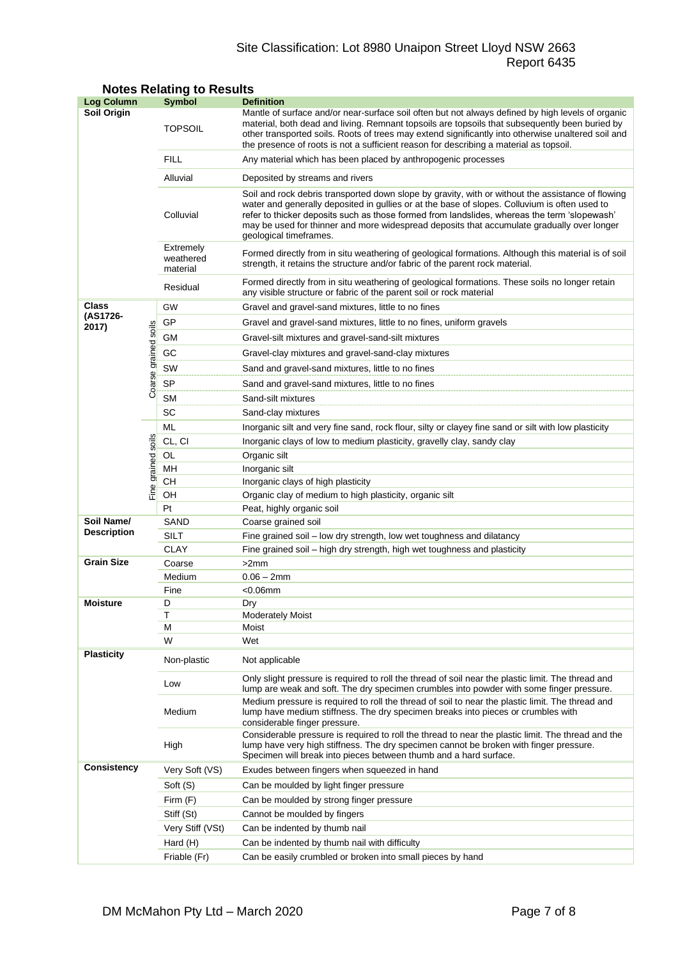### Site Classification: Lot 8980 Unaipon Street Lloyd NSW 2663 Report 6435

| <b>Log Column</b>  |                      | <b>Symbol</b>                                                                                                                                                                                                              | <b>Definition</b>                                                                                                                                                                                                                                                                                                                                                                                                          |  |  |
|--------------------|----------------------|----------------------------------------------------------------------------------------------------------------------------------------------------------------------------------------------------------------------------|----------------------------------------------------------------------------------------------------------------------------------------------------------------------------------------------------------------------------------------------------------------------------------------------------------------------------------------------------------------------------------------------------------------------------|--|--|
| Soil Origin        |                      | <b>TOPSOIL</b>                                                                                                                                                                                                             | Mantle of surface and/or near-surface soil often but not always defined by high levels of organic<br>material, both dead and living. Remnant topsoils are topsoils that subsequently been buried by<br>other transported soils. Roots of trees may extend significantly into otherwise unaltered soil and<br>the presence of roots is not a sufficient reason for describing a material as topsoil.                        |  |  |
|                    |                      | <b>FILL</b>                                                                                                                                                                                                                | Any material which has been placed by anthropogenic processes                                                                                                                                                                                                                                                                                                                                                              |  |  |
|                    |                      | Alluvial                                                                                                                                                                                                                   | Deposited by streams and rivers                                                                                                                                                                                                                                                                                                                                                                                            |  |  |
|                    |                      | Colluvial                                                                                                                                                                                                                  | Soil and rock debris transported down slope by gravity, with or without the assistance of flowing<br>water and generally deposited in gullies or at the base of slopes. Colluvium is often used to<br>refer to thicker deposits such as those formed from landslides, whereas the term 'slopewash'<br>may be used for thinner and more widespread deposits that accumulate gradually over longer<br>geological timeframes. |  |  |
|                    |                      | Extremely<br>Formed directly from in situ weathering of geological formations. Although this material is of soil<br>weathered<br>strength, it retains the structure and/or fabric of the parent rock material.<br>material |                                                                                                                                                                                                                                                                                                                                                                                                                            |  |  |
|                    |                      | Residual                                                                                                                                                                                                                   | Formed directly from in situ weathering of geological formations. These soils no longer retain<br>any visible structure or fabric of the parent soil or rock material                                                                                                                                                                                                                                                      |  |  |
| Class              |                      | GW                                                                                                                                                                                                                         | Gravel and gravel-sand mixtures, little to no fines                                                                                                                                                                                                                                                                                                                                                                        |  |  |
| (AS1726-           |                      | GP                                                                                                                                                                                                                         | Gravel and gravel-sand mixtures, little to no fines, uniform gravels                                                                                                                                                                                                                                                                                                                                                       |  |  |
| 2017)              |                      | <b>GM</b><br>Gravel-silt mixtures and gravel-sand-silt mixtures                                                                                                                                                            |                                                                                                                                                                                                                                                                                                                                                                                                                            |  |  |
|                    |                      | GC<br>Gravel-clay mixtures and gravel-sand-clay mixtures                                                                                                                                                                   |                                                                                                                                                                                                                                                                                                                                                                                                                            |  |  |
|                    |                      | SW                                                                                                                                                                                                                         | Sand and gravel-sand mixtures, little to no fines                                                                                                                                                                                                                                                                                                                                                                          |  |  |
|                    | Coarse grained soils | <b>SP</b>                                                                                                                                                                                                                  | Sand and gravel-sand mixtures, little to no fines                                                                                                                                                                                                                                                                                                                                                                          |  |  |
|                    |                      | <b>SM</b>                                                                                                                                                                                                                  | Sand-silt mixtures                                                                                                                                                                                                                                                                                                                                                                                                         |  |  |
|                    |                      | SC                                                                                                                                                                                                                         | Sand-clay mixtures                                                                                                                                                                                                                                                                                                                                                                                                         |  |  |
|                    |                      | ML                                                                                                                                                                                                                         | Inorganic silt and very fine sand, rock flour, silty or clayey fine sand or silt with low plasticity                                                                                                                                                                                                                                                                                                                       |  |  |
|                    |                      | CL, CI                                                                                                                                                                                                                     | Inorganic clays of low to medium plasticity, gravelly clay, sandy clay                                                                                                                                                                                                                                                                                                                                                     |  |  |
|                    | soils                | OL                                                                                                                                                                                                                         | Organic silt                                                                                                                                                                                                                                                                                                                                                                                                               |  |  |
|                    |                      | MH                                                                                                                                                                                                                         | Inorganic silt                                                                                                                                                                                                                                                                                                                                                                                                             |  |  |
|                    |                      | CН                                                                                                                                                                                                                         | Inorganic clays of high plasticity                                                                                                                                                                                                                                                                                                                                                                                         |  |  |
|                    | Fine grained         | OH                                                                                                                                                                                                                         | Organic clay of medium to high plasticity, organic silt                                                                                                                                                                                                                                                                                                                                                                    |  |  |
|                    |                      | Pt                                                                                                                                                                                                                         | Peat, highly organic soil                                                                                                                                                                                                                                                                                                                                                                                                  |  |  |
| Soil Name/         |                      | SAND                                                                                                                                                                                                                       | Coarse grained soil                                                                                                                                                                                                                                                                                                                                                                                                        |  |  |
| <b>Description</b> |                      | SILT                                                                                                                                                                                                                       | Fine grained soil - low dry strength, low wet toughness and dilatancy                                                                                                                                                                                                                                                                                                                                                      |  |  |
|                    |                      | <b>CLAY</b>                                                                                                                                                                                                                | Fine grained soil - high dry strength, high wet toughness and plasticity                                                                                                                                                                                                                                                                                                                                                   |  |  |
| <b>Grain Size</b>  |                      | Coarse                                                                                                                                                                                                                     | >2mm                                                                                                                                                                                                                                                                                                                                                                                                                       |  |  |
|                    |                      | Medium                                                                                                                                                                                                                     | $0.06 - 2mm$                                                                                                                                                                                                                                                                                                                                                                                                               |  |  |
|                    |                      | Fine                                                                                                                                                                                                                       | $<$ 0.06 $mm$                                                                                                                                                                                                                                                                                                                                                                                                              |  |  |
| <b>Moisture</b>    |                      | D<br>T                                                                                                                                                                                                                     | Dry<br><b>Moderately Moist</b>                                                                                                                                                                                                                                                                                                                                                                                             |  |  |
|                    |                      | М                                                                                                                                                                                                                          | Moist                                                                                                                                                                                                                                                                                                                                                                                                                      |  |  |
|                    |                      | W                                                                                                                                                                                                                          | Wet                                                                                                                                                                                                                                                                                                                                                                                                                        |  |  |
| <b>Plasticity</b>  |                      | Non-plastic                                                                                                                                                                                                                | Not applicable                                                                                                                                                                                                                                                                                                                                                                                                             |  |  |
|                    |                      | Only slight pressure is required to roll the thread of soil near the plastic limit. The thread and<br>Low<br>lump are weak and soft. The dry specimen crumbles into powder with some finger pressure.                      |                                                                                                                                                                                                                                                                                                                                                                                                                            |  |  |
|                    |                      | Medium                                                                                                                                                                                                                     | Medium pressure is required to roll the thread of soil to near the plastic limit. The thread and<br>lump have medium stiffness. The dry specimen breaks into pieces or crumbles with<br>considerable finger pressure.                                                                                                                                                                                                      |  |  |
|                    |                      | High                                                                                                                                                                                                                       | Considerable pressure is required to roll the thread to near the plastic limit. The thread and the<br>lump have very high stiffness. The dry specimen cannot be broken with finger pressure.<br>Specimen will break into pieces between thumb and a hard surface.                                                                                                                                                          |  |  |
| <b>Consistency</b> |                      | Very Soft (VS)                                                                                                                                                                                                             | Exudes between fingers when squeezed in hand                                                                                                                                                                                                                                                                                                                                                                               |  |  |
|                    |                      | Soft (S)                                                                                                                                                                                                                   | Can be moulded by light finger pressure                                                                                                                                                                                                                                                                                                                                                                                    |  |  |
|                    |                      | Firm $(F)$                                                                                                                                                                                                                 | Can be moulded by strong finger pressure                                                                                                                                                                                                                                                                                                                                                                                   |  |  |
|                    |                      | Stiff (St)                                                                                                                                                                                                                 | Cannot be moulded by fingers                                                                                                                                                                                                                                                                                                                                                                                               |  |  |
|                    |                      | Very Stiff (VSt)                                                                                                                                                                                                           | Can be indented by thumb nail                                                                                                                                                                                                                                                                                                                                                                                              |  |  |
|                    |                      | Hard (H)                                                                                                                                                                                                                   | Can be indented by thumb nail with difficulty                                                                                                                                                                                                                                                                                                                                                                              |  |  |
|                    |                      | Friable (Fr)                                                                                                                                                                                                               | Can be easily crumbled or broken into small pieces by hand                                                                                                                                                                                                                                                                                                                                                                 |  |  |

### **Notes Relating to Results**